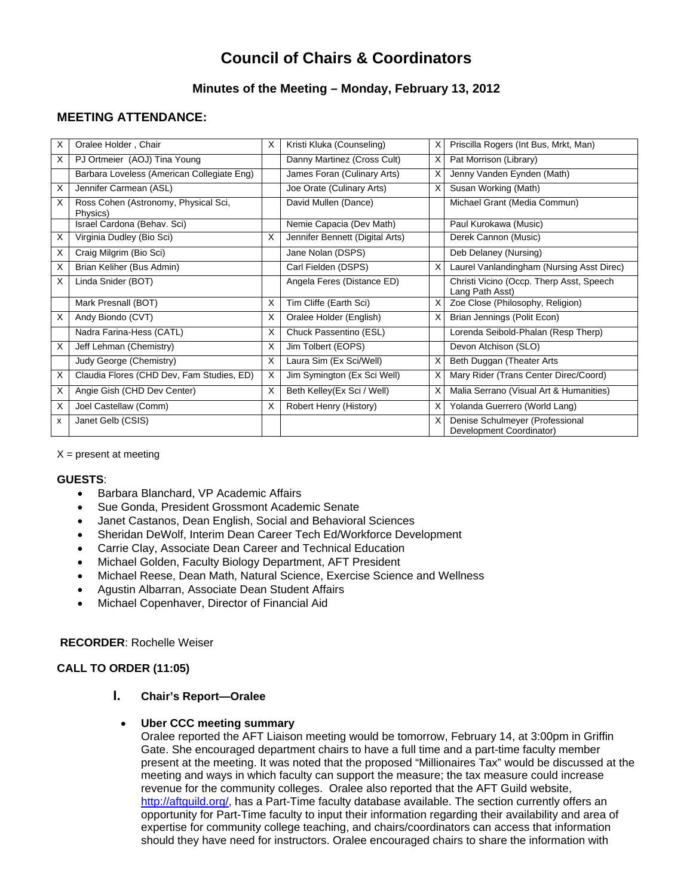# **Council of Chairs & Coordinators**

# **Minutes of the Meeting – Monday, February 13, 2012**

# **MEETING ATTENDANCE:**

| х | Oralee Holder, Chair                             | X | Kristi Kluka (Counseling)       | х | Priscilla Rogers (Int Bus, Mrkt, Man)                       |
|---|--------------------------------------------------|---|---------------------------------|---|-------------------------------------------------------------|
| X | PJ Ortmeier (AOJ) Tina Young                     |   | Danny Martinez (Cross Cult)     | X | Pat Morrison (Library)                                      |
|   | Barbara Loveless (American Collegiate Eng)       |   | James Foran (Culinary Arts)     |   | Jenny Vanden Eynden (Math)                                  |
| X | Jennifer Carmean (ASL)                           |   | Joe Orate (Culinary Arts)       | x | Susan Working (Math)                                        |
| Х | Ross Cohen (Astronomy, Physical Sci,<br>Physics) |   | David Mullen (Dance)            |   | Michael Grant (Media Commun)                                |
|   | Israel Cardona (Behav. Sci)                      |   | Nemie Capacia (Dev Math)        |   | Paul Kurokawa (Music)                                       |
| X | Virginia Dudley (Bio Sci)                        | X | Jennifer Bennett (Digital Arts) |   | Derek Cannon (Music)                                        |
| X | Craig Milgrim (Bio Sci)                          |   | Jane Nolan (DSPS)               |   | Deb Delaney (Nursing)                                       |
| Х | Brian Keliher (Bus Admin)                        |   | Carl Fielden (DSPS)             | X | Laurel Vanlandingham (Nursing Asst Direc)                   |
| Х | Linda Snider (BOT)                               |   | Angela Feres (Distance ED)      |   | Christi Vicino (Occp. Therp Asst, Speech<br>Lang Path Asst) |
|   | Mark Presnall (BOT)                              | X | Tim Cliffe (Earth Sci)          |   | Zoe Close (Philosophy, Religion)                            |
| X | Andy Biondo (CVT)                                | X | Oralee Holder (English)         | х | Brian Jennings (Polit Econ)                                 |
|   | Nadra Farina-Hess (CATL)                         | X | Chuck Passentino (ESL)          |   | Lorenda Seibold-Phalan (Resp Therp)                         |
| X | Jeff Lehman (Chemistry)                          | X | Jim Tolbert (EOPS)              |   | Devon Atchison (SLO)                                        |
|   | Judy George (Chemistry)                          | X | Laura Sim (Ex Sci/Well)         | X | Beth Duggan (Theater Arts                                   |
| X | Claudia Flores (CHD Dev, Fam Studies, ED)        | X | Jim Symington (Ex Sci Well)     | X | Mary Rider (Trans Center Direc/Coord)                       |
| X | Angie Gish (CHD Dev Center)                      | X | Beth Kelley(Ex Sci / Well)      | х | Malia Serrano (Visual Art & Humanities)                     |
| X | Joel Castellaw (Comm)                            | X | Robert Henry (History)          | X | Yolanda Guerrero (World Lang)                               |
| x | Janet Gelb (CSIS)                                |   |                                 |   | Denise Schulmeyer (Professional<br>Development Coordinator) |

 $X =$  present at meeting

#### **GUESTS**:

- Barbara Blanchard, VP Academic Affairs
- Sue Gonda, President Grossmont Academic Senate
- Janet Castanos, Dean English, Social and Behavioral Sciences
- Sheridan DeWolf, Interim Dean Career Tech Ed/Workforce Development
- Carrie Clay, Associate Dean Career and Technical Education
- Michael Golden, Faculty Biology Department, AFT President
- Michael Reese, Dean Math, Natural Science, Exercise Science and Wellness
- Agustin Albarran, Associate Dean Student Affairs
- Michael Copenhaver, Director of Financial Aid

#### **RECORDER**: Rochelle Weiser

## **CALL TO ORDER (11:05)**

**I. Chair's Report—Oralee** 

#### **Uber CCC meeting summary**

Oralee reported the AFT Liaison meeting would be tomorrow, February 14, at 3:00pm in Griffin Gate. She encouraged department chairs to have a full time and a part-time faculty member present at the meeting. It was noted that the proposed "Millionaires Tax" would be discussed at the meeting and ways in which faculty can support the measure; the tax measure could increase revenue for the community colleges. Oralee also reported that the AFT Guild website, http://aftguild.org/, has a Part-Time faculty database available. The section currently offers an opportunity for Part-Time faculty to input their information regarding their availability and area of expertise for community college teaching, and chairs/coordinators can access that information should they have need for instructors. Oralee encouraged chairs to share the information with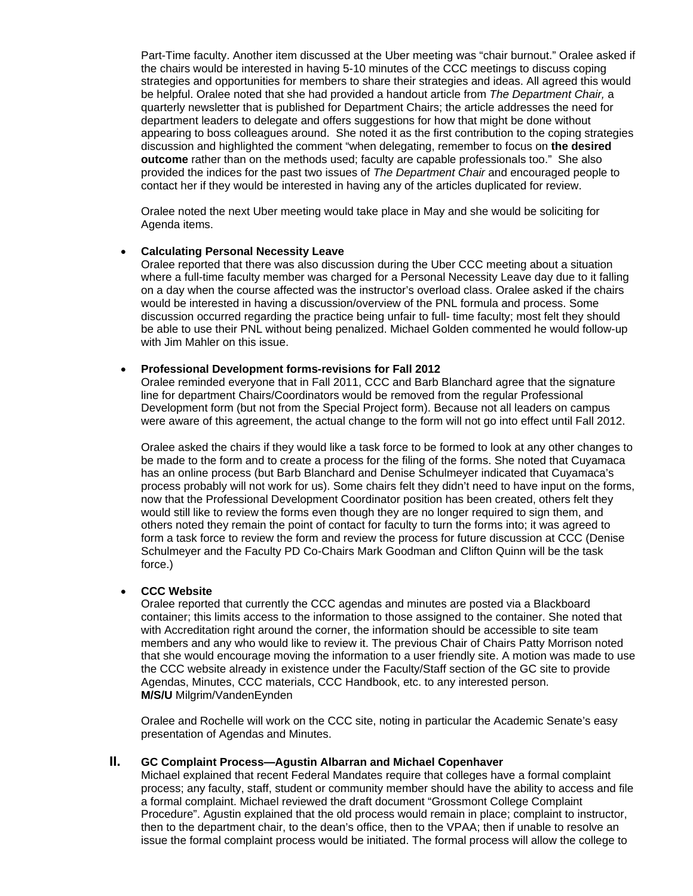Part-Time faculty. Another item discussed at the Uber meeting was "chair burnout." Oralee asked if the chairs would be interested in having 5-10 minutes of the CCC meetings to discuss coping strategies and opportunities for members to share their strategies and ideas. All agreed this would be helpful. Oralee noted that she had provided a handout article from *The Department Chair,* a quarterly newsletter that is published for Department Chairs; the article addresses the need for department leaders to delegate and offers suggestions for how that might be done without appearing to boss colleagues around. She noted it as the first contribution to the coping strategies discussion and highlighted the comment "when delegating, remember to focus on **the desired outcome** rather than on the methods used; faculty are capable professionals too." She also provided the indices for the past two issues of *The Department Chair* and encouraged people to contact her if they would be interested in having any of the articles duplicated for review.

Oralee noted the next Uber meeting would take place in May and she would be soliciting for Agenda items.

#### **Calculating Personal Necessity Leave**

Oralee reported that there was also discussion during the Uber CCC meeting about a situation where a full-time faculty member was charged for a Personal Necessity Leave day due to it falling on a day when the course affected was the instructor's overload class. Oralee asked if the chairs would be interested in having a discussion/overview of the PNL formula and process. Some discussion occurred regarding the practice being unfair to full- time faculty; most felt they should be able to use their PNL without being penalized. Michael Golden commented he would follow-up with Jim Mahler on this issue.

#### **Professional Development forms-revisions for Fall 2012**

Oralee reminded everyone that in Fall 2011, CCC and Barb Blanchard agree that the signature line for department Chairs/Coordinators would be removed from the regular Professional Development form (but not from the Special Project form). Because not all leaders on campus were aware of this agreement, the actual change to the form will not go into effect until Fall 2012.

Oralee asked the chairs if they would like a task force to be formed to look at any other changes to be made to the form and to create a process for the filing of the forms. She noted that Cuyamaca has an online process (but Barb Blanchard and Denise Schulmeyer indicated that Cuyamaca's process probably will not work for us). Some chairs felt they didn't need to have input on the forms, now that the Professional Development Coordinator position has been created, others felt they would still like to review the forms even though they are no longer required to sign them, and others noted they remain the point of contact for faculty to turn the forms into; it was agreed to form a task force to review the form and review the process for future discussion at CCC (Denise Schulmeyer and the Faculty PD Co-Chairs Mark Goodman and Clifton Quinn will be the task force.)

#### **CCC Website**

Oralee reported that currently the CCC agendas and minutes are posted via a Blackboard container; this limits access to the information to those assigned to the container. She noted that with Accreditation right around the corner, the information should be accessible to site team members and any who would like to review it. The previous Chair of Chairs Patty Morrison noted that she would encourage moving the information to a user friendly site. A motion was made to use the CCC website already in existence under the Faculty/Staff section of the GC site to provide Agendas, Minutes, CCC materials, CCC Handbook, etc. to any interested person. **M/S/U** Milgrim/VandenEynden

Oralee and Rochelle will work on the CCC site, noting in particular the Academic Senate's easy presentation of Agendas and Minutes.

## **II. GC Complaint Process—Agustin Albarran and Michael Copenhaver**

Michael explained that recent Federal Mandates require that colleges have a formal complaint process; any faculty, staff, student or community member should have the ability to access and file a formal complaint. Michael reviewed the draft document "Grossmont College Complaint Procedure". Agustin explained that the old process would remain in place; complaint to instructor, then to the department chair, to the dean's office, then to the VPAA; then if unable to resolve an issue the formal complaint process would be initiated. The formal process will allow the college to